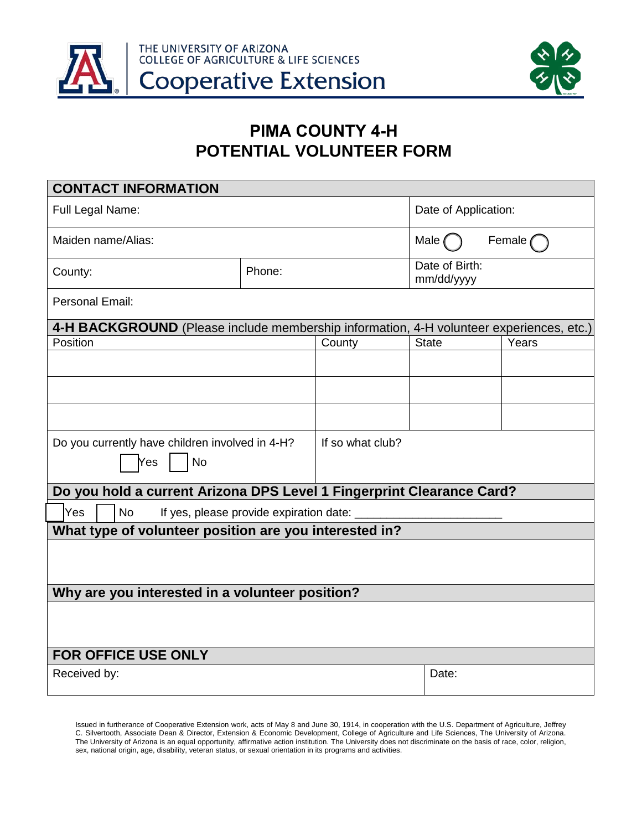



## **PIMA COUNTY 4-H POTENTIAL VOLUNTEER FORM**

| <b>CONTACT INFORMATION</b>                                                              |  |                  |                              |       |  |  |
|-----------------------------------------------------------------------------------------|--|------------------|------------------------------|-------|--|--|
| Full Legal Name:                                                                        |  |                  | Date of Application:         |       |  |  |
| Maiden name/Alias:                                                                      |  |                  | Female<br>Male (             |       |  |  |
| Phone:<br>County:                                                                       |  |                  | Date of Birth:<br>mm/dd/yyyy |       |  |  |
| Personal Email:                                                                         |  |                  |                              |       |  |  |
| 4-H BACKGROUND (Please include membership information, 4-H volunteer experiences, etc.) |  |                  |                              |       |  |  |
| Position                                                                                |  | County           | <b>State</b>                 | Years |  |  |
|                                                                                         |  |                  |                              |       |  |  |
|                                                                                         |  |                  |                              |       |  |  |
|                                                                                         |  |                  |                              |       |  |  |
| Do you currently have children involved in 4-H?<br><b>No</b><br>Yes                     |  | If so what club? |                              |       |  |  |
| Do you hold a current Arizona DPS Level 1 Fingerprint Clearance Card?                   |  |                  |                              |       |  |  |
| <b>Yes</b><br><b>No</b><br>If yes, please provide expiration date: _                    |  |                  |                              |       |  |  |
| What type of volunteer position are you interested in?                                  |  |                  |                              |       |  |  |
|                                                                                         |  |                  |                              |       |  |  |
| Why are you interested in a volunteer position?                                         |  |                  |                              |       |  |  |
|                                                                                         |  |                  |                              |       |  |  |
| FOR OFFICE USE ONLY                                                                     |  |                  |                              |       |  |  |
| Received by:                                                                            |  | Date:            |                              |       |  |  |

Issued in furtherance of Cooperative Extension work, acts of May 8 and June 30, 1914, in cooperation with the U.S. Department of Agriculture, Jeffrey C. Silvertooth, Associate Dean & Director, Extension & Economic Development, College of Agriculture and Life Sciences, The University of Arizona. The University of Arizona is an equal opportunity, affirmative action institution. The University does not discriminate on the basis of race, color, religion, sex, national origin, age, disability, veteran status, or sexual orientation in its programs and activities.